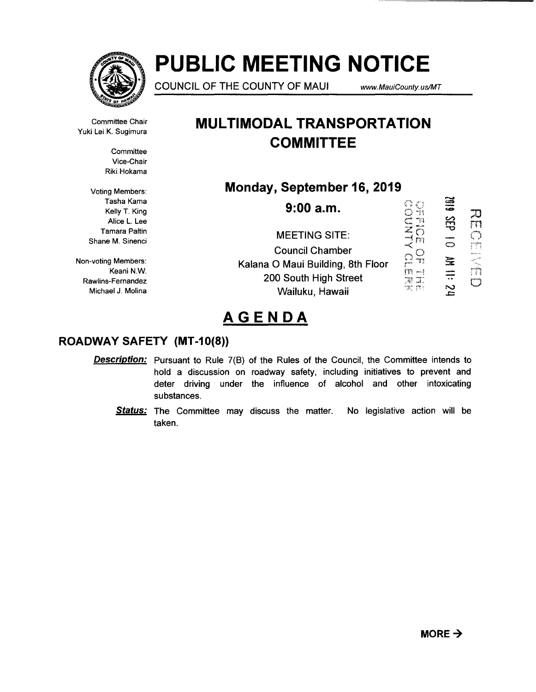

# **PUBLIC MEETING NOTICE**

COUNCIL OF THE COUNTY OF MAUl www.MauiCounty. us/MT

Committee Chair Yuki Lei K. Sugimura

> **Committee** Vice-Chair Riki Hokama

Voting Members: Tasha Kama Kelly T. King Alice L. Lee Tamara Paltin Shane M. Sinenci

Non-voting Members: Keani N.W. Rawlins-Fernandez Michael J. Molina

## **MULTIMODAL TRANSPORTATION COMMITTEE**

### **Monday, September 16, 2019**

6102 CONTROL<br> **NOTHER 9:00a.m.**   $\overline{\mathcal{L}}$ 3EP 10 MI 11: 24 rn MEETING SITE:  $\bigcirc$ **ACATALITY** Council Chamber Kalana 0 Maui Building, 8th Floor 200 South High Street  $\mathbb{C}$ Wailuku, Hawaii

# **AGENDA**

### **ROADWAY SAFETY (MT -1 0(8))**

- **Description:** Pursuant to Rule 7(B) of the Rules of the Council, the Committee intends to hold a discussion on roadway safety, including initiatives to prevent and deter driving under the influence of alcohol and other intoxicating substances.
	- **Status:** The Committee may discuss the matter. No legislative action will be taken.